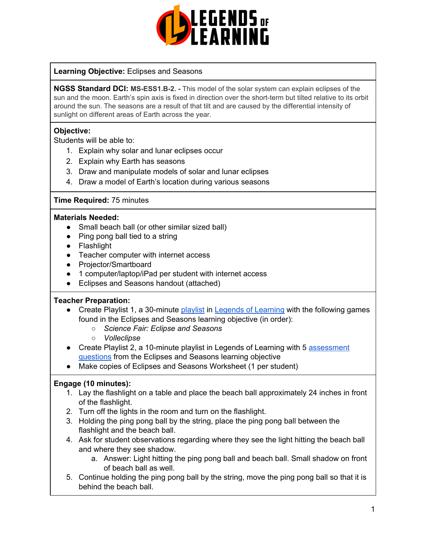

#### **Learning Objective:** Eclipses and Seasons

**NGSS Standard DCI: MS-ESS1.B-2. -** This model of the solar system can explain eclipses of the sun and the moon. Earth's spin axis is fixed in direction over the short-term but tilted relative to its orbit around the sun. The seasons are a result of that tilt and are caused by the differential intensity of sunlight on different areas of Earth across the year.

#### **Objective:**

Students will be able to:

- 1. Explain why solar and lunar eclipses occur
- 2. Explain why Earth has seasons
- 3. Draw and manipulate models of solar and lunar eclipses
- 4. Draw a model of Earth's location during various seasons

#### **Time Required:** 75 minutes

#### **Materials Needed:**

- Small beach ball (or other similar sized ball)
- Ping pong ball tied to a string
- Flashlight
- Teacher computer with internet access
- Projector/Smartboard
- 1 computer/laptop/iPad per student with internet access
- Eclipses and Seasons handout (attached)

#### **Teacher Preparation:**

- Create Playlist 1, a 30-minute [playlist](https://lol.desk.com/customer/en/portal/articles/2822815-creating-multiple-playlists) in Legends of [Learning](https://teachers.legendsoflearning.com/sign-in) with the following games found in the Eclipses and Seasons learning objective (in order):
	- *○ Science Fair: Eclipse and Seasons*
	- *○ Volleclipse*
- Create Playlist 2, a 10-minute playlist in Legends of Learning with 5 [assessment](https://lol.desk.com/customer/en/portal/articles/2777129-adding-assessments-to-a-playlist) [questions](https://lol.desk.com/customer/en/portal/articles/2777129-adding-assessments-to-a-playlist) from the Eclipses and Seasons learning objective
- Make copies of Eclipses and Seasons Worksheet (1 per student)

#### **Engage (10 minutes):**

- 1. Lay the flashlight on a table and place the beach ball approximately 24 inches in front of the flashlight.
- 2. Turn off the lights in the room and turn on the flashlight.
- 3. Holding the ping pong ball by the string, place the ping pong ball between the flashlight and the beach ball.
- 4. Ask for student observations regarding where they see the light hitting the beach ball and where they see shadow.
	- a. Answer: Light hitting the ping pong ball and beach ball. Small shadow on front of beach ball as well.
- 5. Continue holding the ping pong ball by the string, move the ping pong ball so that it is behind the beach ball.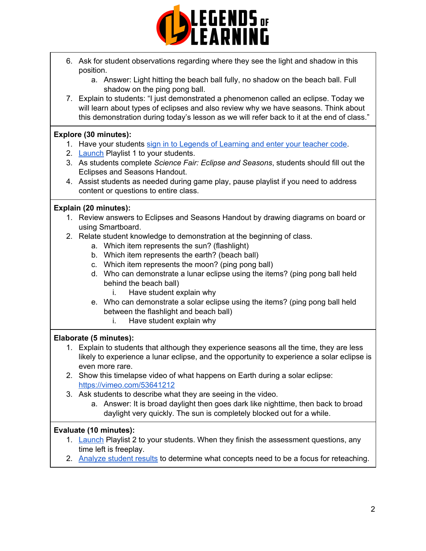

- 6. Ask for student observations regarding where they see the light and shadow in this position.
	- a. Answer: Light hitting the beach ball fully, no shadow on the beach ball. Full shadow on the ping pong ball.
- 7. Explain to students: "I just demonstrated a phenomenon called an eclipse. Today we will learn about types of eclipses and also review why we have seasons. Think about this demonstration during today's lesson as we will refer back to it at the end of class."

# **Explore (30 minutes):**

- 1. Have your students sign in to Legends of [Learning](https://lol.desk.com/customer/en/portal/articles/2809984-students-joining-a-playlist) and enter your teacher code.
- 2. [Launch](https://lol.desk.com/customer/en/portal/articles/2822815-creating-multiple-playlists) Playlist 1 to your students.
- 3. As students complete *Science Fair: Eclipse and Seasons*, students should fill out the Eclipses and Seasons Handout.
- 4. Assist students as needed during game play, pause playlist if you need to address content or questions to entire class.

# **Explain (20 minutes):**

- 1. Review answers to Eclipses and Seasons Handout by drawing diagrams on board or using Smartboard.
- 2. Relate student knowledge to demonstration at the beginning of class.
	- a. Which item represents the sun? (flashlight)
	- b. Which item represents the earth? (beach ball)
	- c. Which item represents the moon? (ping pong ball)
	- d. Who can demonstrate a lunar eclipse using the items? (ping pong ball held behind the beach ball)
		- i. Have student explain why
	- e. Who can demonstrate a solar eclipse using the items? (ping pong ball held between the flashlight and beach ball)
		- i. Have student explain why

# **Elaborate (5 minutes):**

- 1. Explain to students that although they experience seasons all the time, they are less likely to experience a lunar eclipse, and the opportunity to experience a solar eclipse is even more rare.
- 2. Show this timelapse video of what happens on Earth during a solar eclipse: <https://vimeo.com/53641212>
- 3. Ask students to describe what they are seeing in the video.
	- a. Answer: It is broad daylight then goes dark like nighttime, then back to broad daylight very quickly. The sun is completely blocked out for a while.

# **Evaluate (10 minutes):**

- 1. [Launch](https://lol.desk.com/customer/en/portal/articles/2822815-creating-multiple-playlists) Playlist 2 to your students. When they finish the assessment questions, any time left is freeplay.
- 2. [Analyze](https://lol.desk.com/customer/en/portal/articles/2787419-tracking-student-progress-and-performance) student results to determine what concepts need to be a focus for reteaching.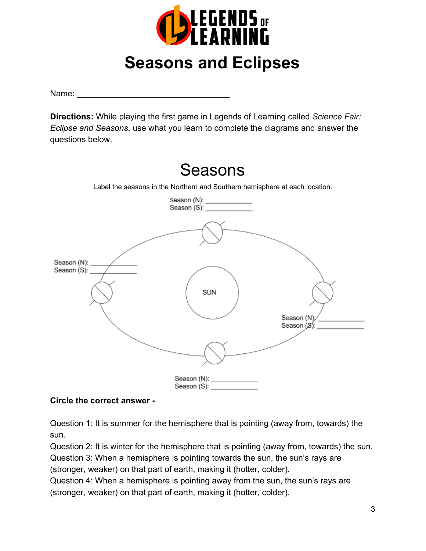

# **Seasons and Eclipses**

Name:

**Directions:** While playing the first game in Legends of Learning called *Science Fair: Eclipse and Seasons*, use what you learn to complete the diagrams and answer the questions below.



# **Circle the correct answer -**

Question 1: It is summer for the hemisphere that is pointing (away from, towards) the sun.

Question 2: It is winter for the hemisphere that is pointing (away from, towards) the sun. Question 3: When a hemisphere is pointing towards the sun, the sun's rays are

(stronger, weaker) on that part of earth, making it (hotter, colder).

Question 4: When a hemisphere is pointing away from the sun, the sun's rays are (stronger, weaker) on that part of earth, making it (hotter, colder).